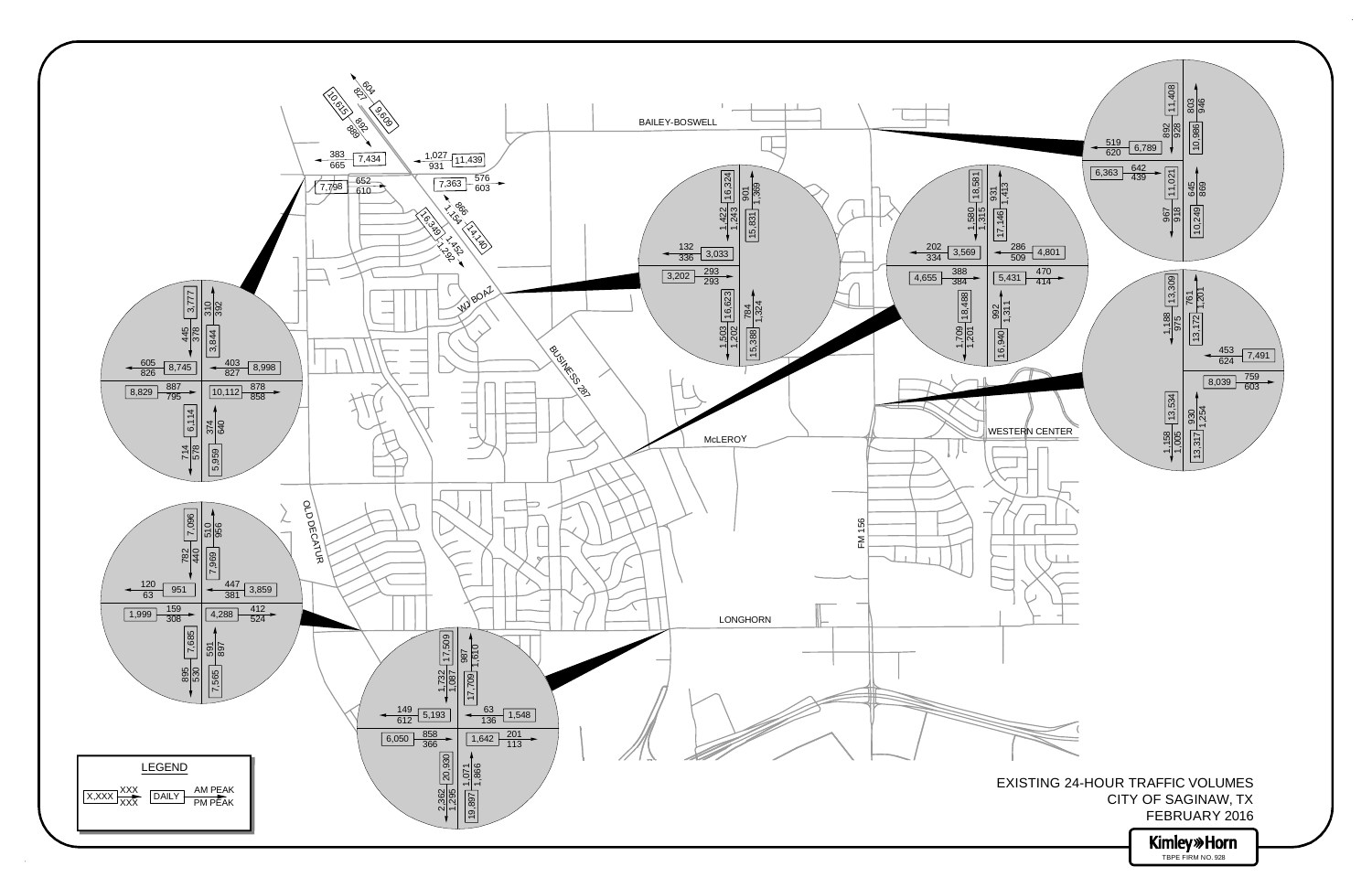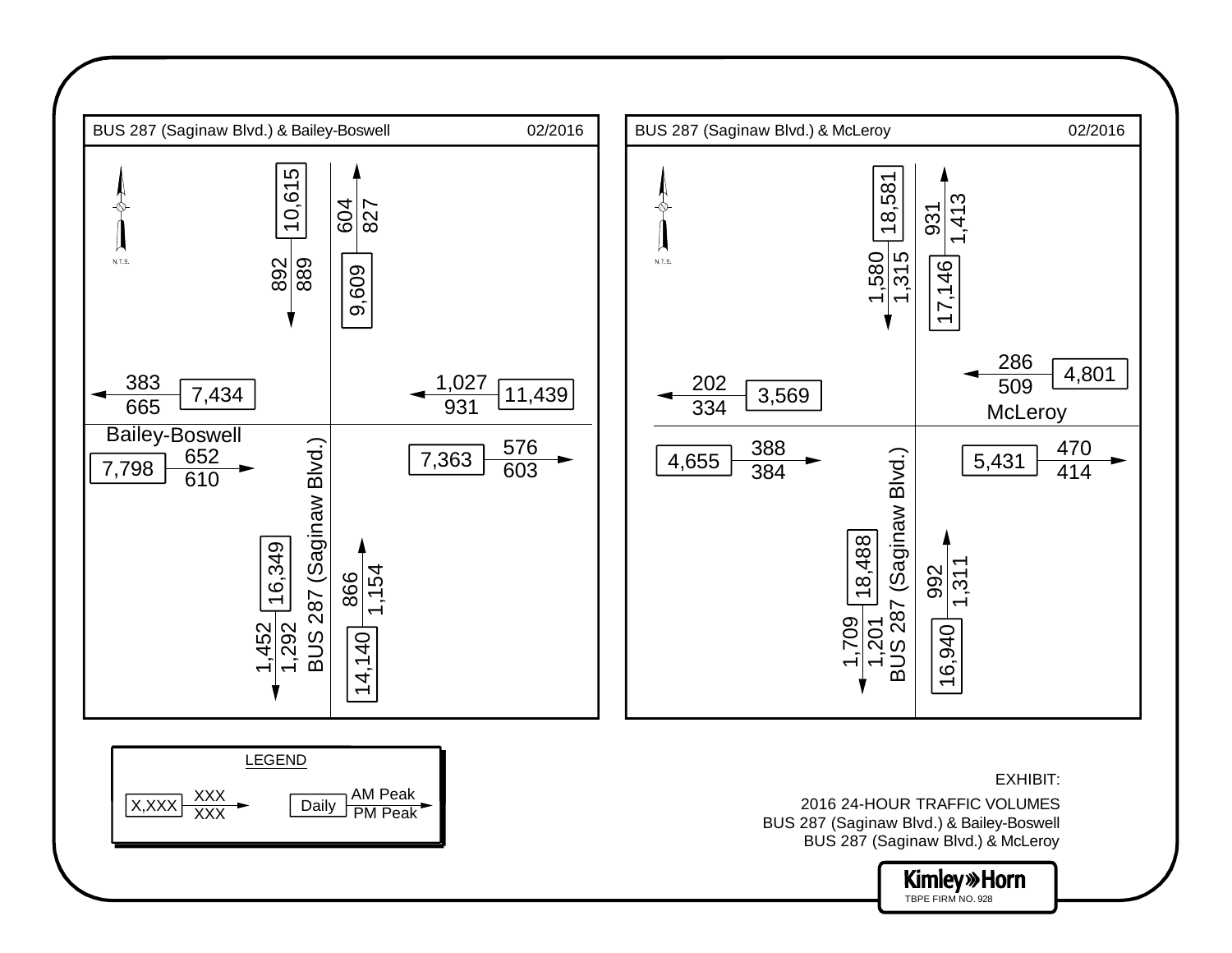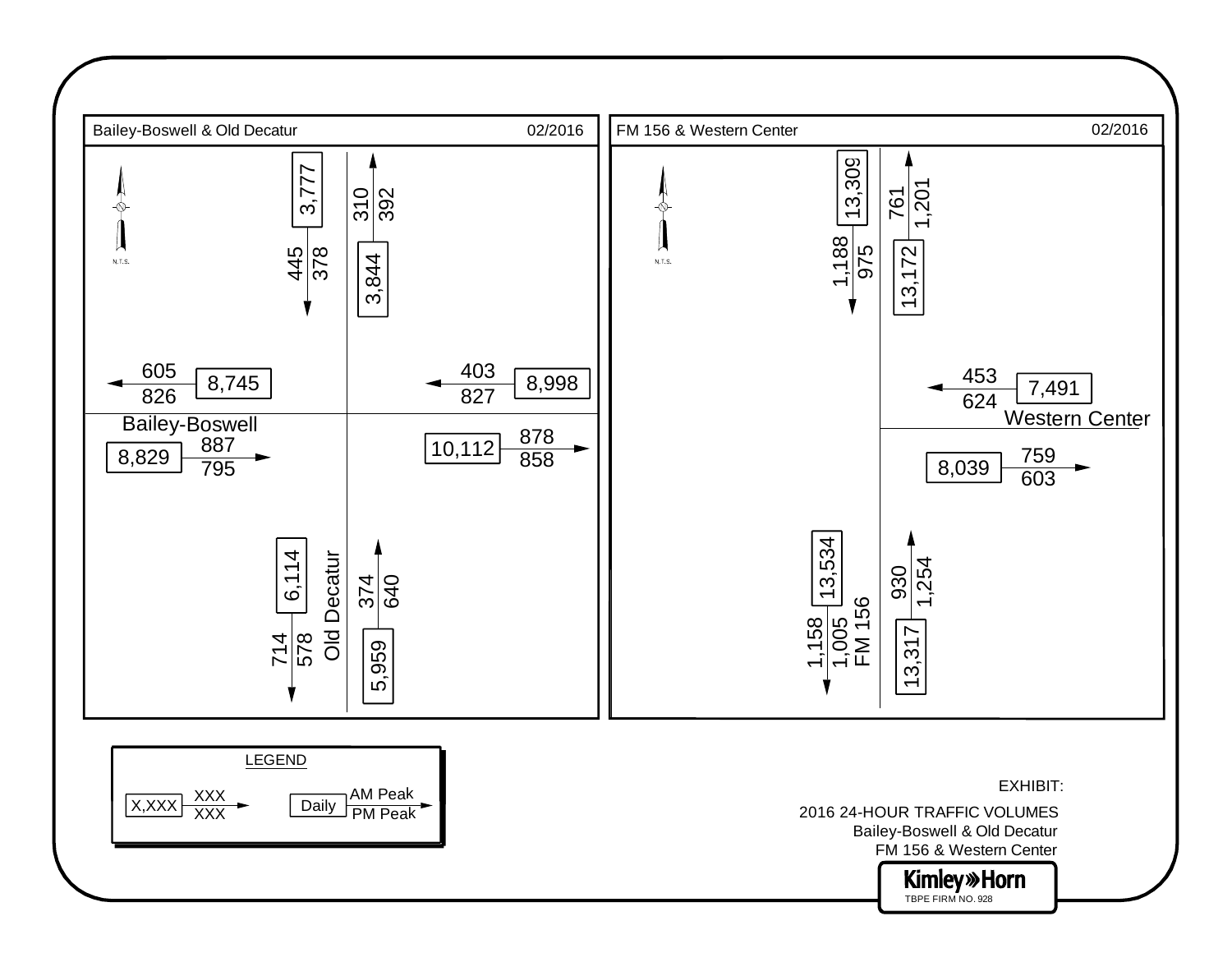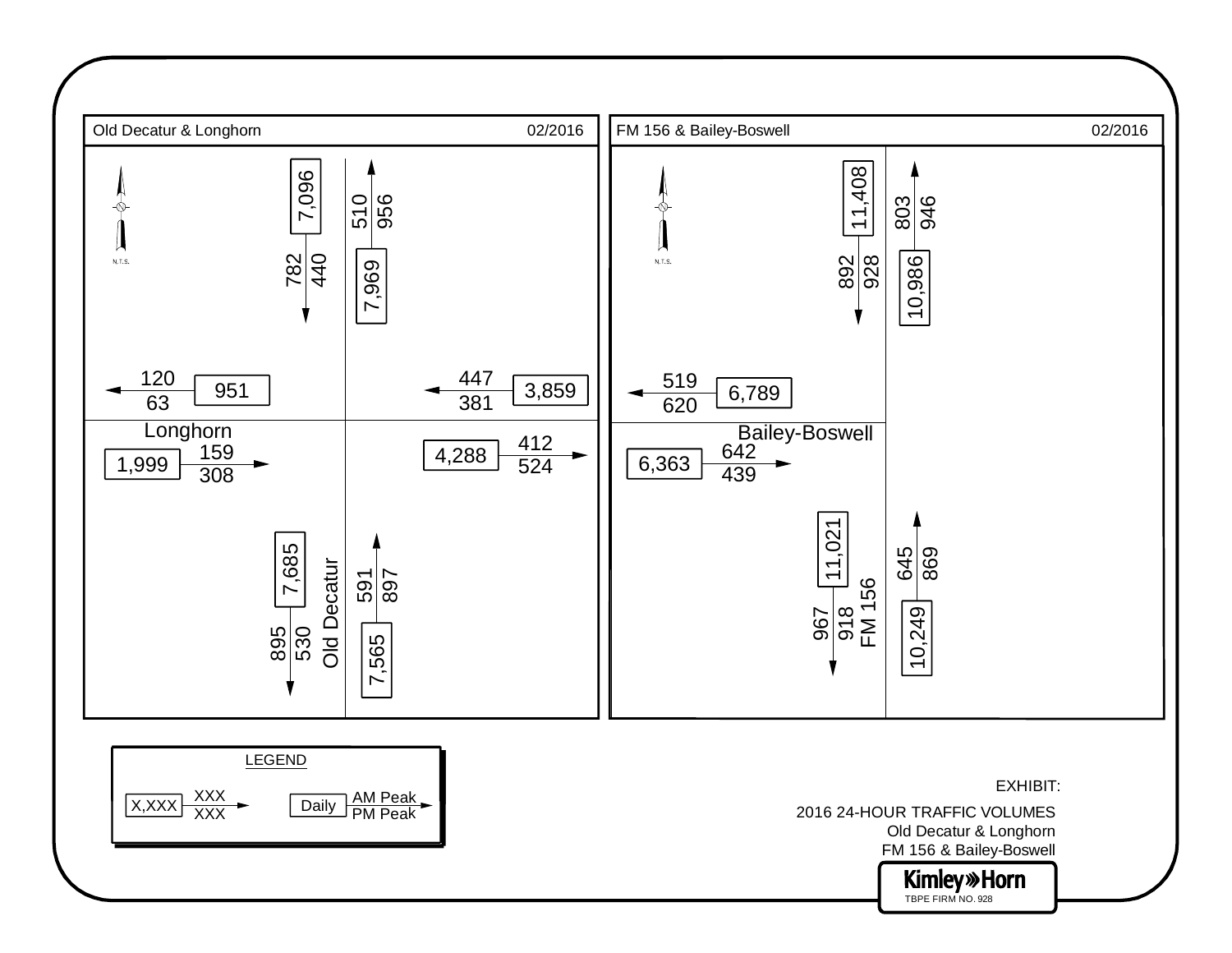